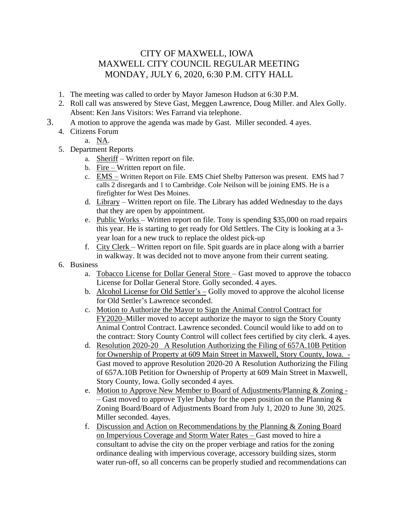## CITY OF MAXWELL, IOWA MAXWELL CITY COUNCIL REGULAR MEETING MONDAY, JULY 6, 2020, 6:30 P.M. CITY HALL

- 1. The meeting was called to order by Mayor Jameson Hudson at 6:30 P.M.
- 2. Roll call was answered by Steve Gast, Meggen Lawrence, Doug Miller. and Alex Golly. Absent: Ken Jans Visitors: Wes Farrand via telephone.
- 3. A motion to approve the agenda was made by Gast. Miller seconded. 4 ayes.
	- 4. Citizens Forum
		- a. NA.
	- 5. Department Reports
		- a. Sheriff Written report on file.
		- b. Fire Written report on file.
		- c. EMS Written Report on File. EMS Chief Shelby Patterson was present. EMS had 7 calls 2 disregards and 1 to Cambridge. Cole Neilson will be joining EMS. He is a firefighter for West Des Moines.
		- d. Library Written report on file. The Library has added Wednesday to the days that they are open by appointment.
		- e. Public Works Written report on file. Tony is spending \$35,000 on road repairs this year. He is starting to get ready for Old Settlers. The City is looking at a 3 year loan for a new truck to replace the oldest pick-up
		- f. City Clerk Written report on file. Spit guards are in place along with a barrier in walkway. It was decided not to move anyone from their current seating.
	- 6. Business
		- a. Tobacco License for Dollar General Store Gast moved to approve the tobacco License for Dollar General Store. Golly seconded. 4 ayes.
		- b. Alcohol License for Old Settler's Golly moved to approve the alcohol license for Old Settler's Lawrence seconded.
		- c. Motion to Authorize the Mayor to Sign the Animal Control Contract for FY2020–Miller moved to accept authorize the mayor to sign the Story County Animal Control Contract. Lawrence seconded. Council would like to add on to the contract: Story County Control will collect fees certified by city clerk. 4 ayes.
		- d. Resolution 2020-20 A Resolution Authorizing the Filing of 657A.10B Petition for Ownership of Property at 609 Main Street in Maxwell, Story County, Iowa. - Gast moved to approve Resolution 2020-20 A Resolution Authorizing the Filing of 657A.10B Petition for Ownership of Property at 609 Main Street in Maxwell, Story County, Iowa. Golly seconded 4 ayes.
		- e. Motion to Approve New Member to Board of Adjustments/Planning & Zoning – Gast moved to approve Tyler Dubay for the open position on the Planning  $\&$ Zoning Board/Board of Adjustments Board from July 1, 2020 to June 30, 2025. Miller seconded. 4ayes.
		- f. Discussion and Action on Recommendations by the Planning & Zoning Board on Impervious Coverage and Storm Water Rates – Gast moved to hire a consultant to advise the city on the proper verbiage and ratios for the zoning ordinance dealing with impervious coverage, accessory building sizes, storm water run-off, so all concerns can be properly studied and recommendations can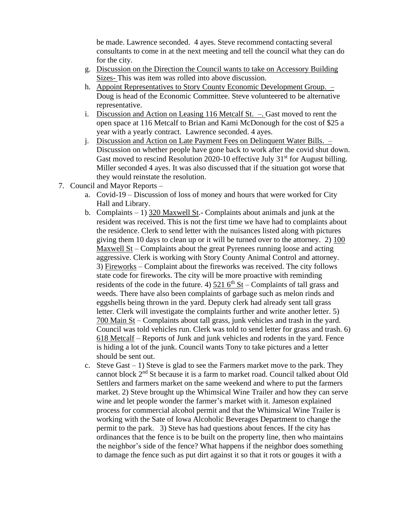be made. Lawrence seconded. 4 ayes. Steve recommend contacting several consultants to come in at the next meeting and tell the council what they can do for the city.

- g. Discussion on the Direction the Council wants to take on Accessory Building Sizes- This was item was rolled into above discussion.
- h. Appoint Representatives to Story County Economic Development Group. Doug is head of the Economic Committee. Steve volunteered to be alternative representative.
- i. Discussion and Action on Leasing 116 Metcalf  $St. -$ . Gast moved to rent the open space at 116 Metcalf to Brian and Kami McDonough for the cost of \$25 a year with a yearly contract. Lawrence seconded. 4 ayes.
- j. Discussion and Action on Late Payment Fees on Delinquent Water Bills. Discussion on whether people have gone back to work after the covid shut down. Gast moved to rescind Resolution 2020-10 effective July  $31<sup>st</sup>$  for August billing. Miller seconded 4 ayes. It was also discussed that if the situation got worse that they would reinstate the resolution.
- 7. Council and Mayor Reports
	- a. Covid-19 Discussion of loss of money and hours that were worked for City Hall and Library.
	- b. Complaints 1) 320 Maxwell St.- Complaints about animals and junk at the resident was received. This is not the first time we have had to complaints about the residence. Clerk to send letter with the nuisances listed along with pictures giving them 10 days to clean up or it will be turned over to the attorney. 2) 100 Maxwell St – Complaints about the great Pyrenees running loose and acting aggressive. Clerk is working with Story County Animal Control and attorney. 3) Fireworks – Complaint about the fireworks was received. The city follows state code for fireworks. The city will be more proactive with reminding residents of the code in the future. 4)  $521\,6^{th}$  St – Complaints of tall grass and weeds. There have also been complaints of garbage such as melon rinds and eggshells being thrown in the yard. Deputy clerk had already sent tall grass letter. Clerk will investigate the complaints further and write another letter. 5) 700 Main St – Complaints about tall grass, junk vehicles and trash in the yard. Council was told vehicles run. Clerk was told to send letter for grass and trash. 6) 618 Metcalf – Reports of Junk and junk vehicles and rodents in the yard. Fence is hiding a lot of the junk. Council wants Tony to take pictures and a letter should be sent out.
	- c. Steve Gast  $-1$ ) Steve is glad to see the Farmers market move to the park. They cannot block 2nd St because it is a farm to market road. Council talked about Old Settlers and farmers market on the same weekend and where to put the farmers market. 2) Steve brought up the Whimsical Wine Trailer and how they can serve wine and let people wonder the farmer's market with it. Jameson explained process for commercial alcohol permit and that the Whimsical Wine Trailer is working with the Sate of Iowa Alcoholic Beverages Department to change the permit to the park. 3) Steve has had questions about fences. If the city has ordinances that the fence is to be built on the property line, then who maintains the neighbor's side of the fence? What happens if the neighbor does something to damage the fence such as put dirt against it so that it rots or gouges it with a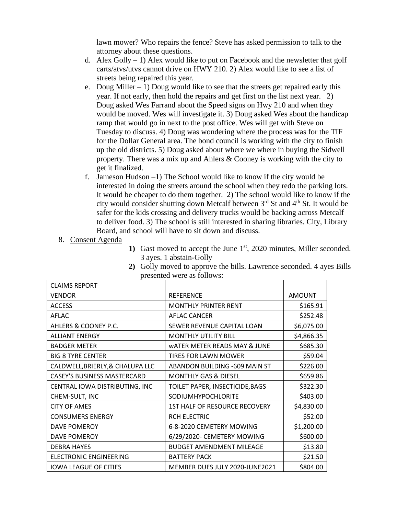lawn mower? Who repairs the fence? Steve has asked permission to talk to the attorney about these questions.

- d. Alex Golly  $-1$ ) Alex would like to put on Facebook and the newsletter that golf carts/atvs/utvs cannot drive on HWY 210. 2) Alex would like to see a list of streets being repaired this year.
- e. Doug Miller 1) Doug would like to see that the streets get repaired early this year. If not early, then hold the repairs and get first on the list next year. 2) Doug asked Wes Farrand about the Speed signs on Hwy 210 and when they would be moved. Wes will investigate it. 3) Doug asked Wes about the handicap ramp that would go in next to the post office. Wes will get with Steve on Tuesday to discuss. 4) Doug was wondering where the process was for the TIF for the Dollar General area. The bond council is working with the city to finish up the old districts. 5) Doug asked about where we where in buying the Sidwell property. There was a mix up and Ahlers & Cooney is working with the city to get it finalized.
- f. Jameson Hudson –1) The School would like to know if the city would be interested in doing the streets around the school when they redo the parking lots. It would be cheaper to do them together. 2) The school would like to know if the city would consider shutting down Metcalf between  $3<sup>rd</sup>$  St and  $4<sup>th</sup>$  St. It would be safer for the kids crossing and delivery trucks would be backing across Metcalf to deliver food. 3) The school is still interested in sharing libraries. City, Library Board, and school will have to sit down and discuss.
- 8. Consent Agenda
- **1)** Gast moved to accept the June 1<sup>st</sup>, 2020 minutes, Miller seconded. 3 ayes. 1 abstain-Golly

| <b>CLAIMS REPORT</b>               |                                 |               |
|------------------------------------|---------------------------------|---------------|
| <b>VENDOR</b>                      | <b>REFERENCE</b>                | <b>AMOUNT</b> |
| <b>ACCESS</b>                      | <b>MONTHLY PRINTER RENT</b>     | \$165.91      |
| AFLAC                              | <b>AFLAC CANCER</b>             | \$252.48      |
| AHLERS & COONEY P.C.               | SEWER REVENUE CAPITAL LOAN      | \$6,075.00    |
| <b>ALLIANT ENERGY</b>              | <b>MONTHLY UTILITY BILL</b>     | \$4,866.35    |
| <b>BADGER METER</b>                | WATER METER READS MAY & JUNE    | \$685.30      |
| <b>BIG 8 TYRE CENTER</b>           | <b>TIRES FOR LAWN MOWER</b>     | \$59.04       |
| CALDWELL, BRIERLY, & CHALUPA LLC   | ABANDON BUILDING -609 MAIN ST   | \$226.00      |
| <b>CASEY'S BUSINESS MASTERCARD</b> | <b>MONTHLY GAS &amp; DIESEL</b> | \$659.86      |
| CENTRAL IOWA DISTRIBUTING, INC     | TOILET PAPER, INSECTICIDE, BAGS | \$322.30      |
| CHEM-SULT, INC                     | SODIUMHYPOCHLORITE              | \$403.00      |
| <b>CITY OF AMES</b>                | 1ST HALF OF RESOURCE RECOVERY   | \$4,830.00    |
| <b>CONSUMERS ENERGY</b>            | <b>RCH ELECTRIC</b>             | \$52.00       |
| <b>DAVE POMEROY</b>                | 6-8-2020 CEMETERY MOWING        | \$1,200.00    |
| DAVE POMEROY                       | 6/29/2020- CEMETERY MOWING      | \$600.00      |
| <b>DEBRA HAYES</b>                 | <b>BUDGET AMENDMENT MILEAGE</b> | \$13.80       |
| <b>ELECTRONIC ENGINEERING</b>      | <b>BATTERY PACK</b>             | \$21.50       |
| <b>IOWA LEAGUE OF CITIES</b>       | MEMBER DUES JULY 2020-JUNE2021  | \$804.00      |

**2)** Golly moved to approve the bills. Lawrence seconded. 4 ayes Bills presented were as follows: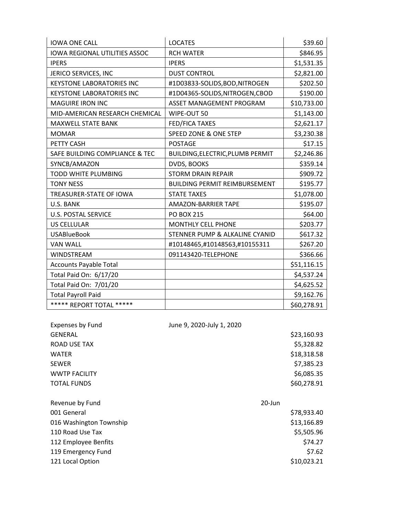| <b>IOWA ONE CALL</b>                 | <b>LOCATES</b>                       | \$39.60     |
|--------------------------------------|--------------------------------------|-------------|
| <b>IOWA REGIONAL UTILITIES ASSOC</b> | <b>RCH WATER</b>                     | \$846.95    |
| <b>IPERS</b>                         | <b>IPERS</b>                         | \$1,531.35  |
| JERICO SERVICES, INC                 | <b>DUST CONTROL</b>                  | \$2,821.00  |
| <b>KEYSTONE LABORATORIES INC</b>     | #1D03833-SOLIDS, BOD, NITROGEN       | \$202.50    |
| <b>KEYSTONE LABORATORIES INC</b>     | #1D04365-SOLIDS, NITROGEN, CBOD      | \$190.00    |
| <b>MAGUIRE IRON INC</b>              | ASSET MANAGEMENT PROGRAM             | \$10,733.00 |
| MID-AMERICAN RESEARCH CHEMICAL       | WIPE-OUT 50                          | \$1,143.00  |
| MAXWELL STATE BANK                   | <b>FED/FICA TAXES</b>                | \$2,621.17  |
| <b>MOMAR</b>                         | SPEED ZONE & ONE STEP                | \$3,230.38  |
| PETTY CASH                           | <b>POSTAGE</b>                       | \$17.15     |
| SAFE BUILDING COMPLIANCE & TEC       | BUILDING, ELECTRIC, PLUMB PERMIT     | \$2,246.86  |
| SYNCB/AMAZON                         | DVDS, BOOKS                          | \$359.14    |
| <b>TODD WHITE PLUMBING</b>           | <b>STORM DRAIN REPAIR</b>            | \$909.72    |
| <b>TONY NESS</b>                     | <b>BUILDING PERMIT REIMBURSEMENT</b> | \$195.77    |
| TREASURER-STATE OF IOWA              | <b>STATE TAXES</b>                   | \$1,078.00  |
| U.S. BANK                            | <b>AMAZON-BARRIER TAPE</b>           | \$195.07    |
| <b>U.S. POSTAL SERVICE</b>           | <b>PO BOX 215</b>                    | \$64.00     |
| <b>US CELLULAR</b>                   | <b>MONTHLY CELL PHONE</b>            | \$203.77    |
| <b>USABlueBook</b>                   | STENNER PUMP & ALKALINE CYANID       | \$617.32    |
| <b>VAN WALL</b>                      | #10148465,#10148563,#10155311        | \$267.20    |
| <b>WINDSTREAM</b>                    | 091143420-TELEPHONE                  | \$366.66    |
| <b>Accounts Payable Total</b>        |                                      | \$51,116.15 |
| Total Paid On: 6/17/20               |                                      | \$4,537.24  |
| Total Paid On: 7/01/20               |                                      | \$4,625.52  |
| <b>Total Payroll Paid</b>            |                                      | \$9,162.76  |
| ***** REPORT TOTAL *****             |                                      | \$60,278.91 |

| <b>Expenses by Fund</b> | June 9, 2020-July 1, 2020 |        |             |
|-------------------------|---------------------------|--------|-------------|
| <b>GENERAL</b>          |                           |        | \$23,160.93 |
| ROAD USE TAX            |                           |        | \$5,328.82  |
| <b>WATER</b>            |                           |        | \$18,318.58 |
| <b>SEWER</b>            |                           |        | \$7,385.23  |
| <b>WWTP FACILITY</b>    |                           |        | \$6,085.35  |
| <b>TOTAL FUNDS</b>      |                           |        | \$60,278.91 |
|                         |                           |        |             |
| Revenue by Fund         |                           | 20-Jun |             |
| 001 General             |                           |        | \$78,933.40 |
| 016 Washington Township |                           |        | \$13,166.89 |
| 110 Road Use Tax        |                           |        | \$5,505.96  |
| 112 Employee Benfits    |                           |        | \$74.27     |
| 119 Emergency Fund      |                           |        | \$7.62      |
| 121 Local Option        |                           |        | \$10,023.21 |